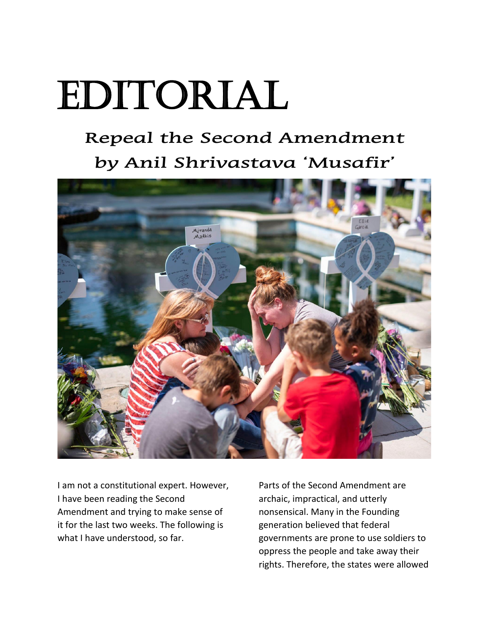## Editorial

## **Repeal the Second Amendment by Anil Shrivastava 'Musafir'**



I am not a constitutional expert. However, I have been reading the Second Amendment and trying to make sense of it for the last two weeks. The following is what I have understood, so far.

Parts of the Second Amendment are archaic, impractical, and utterly nonsensical. Many in the Founding generation believed that federal governments are prone to use soldiers to oppress the people and take away their rights. Therefore, the states were allowed